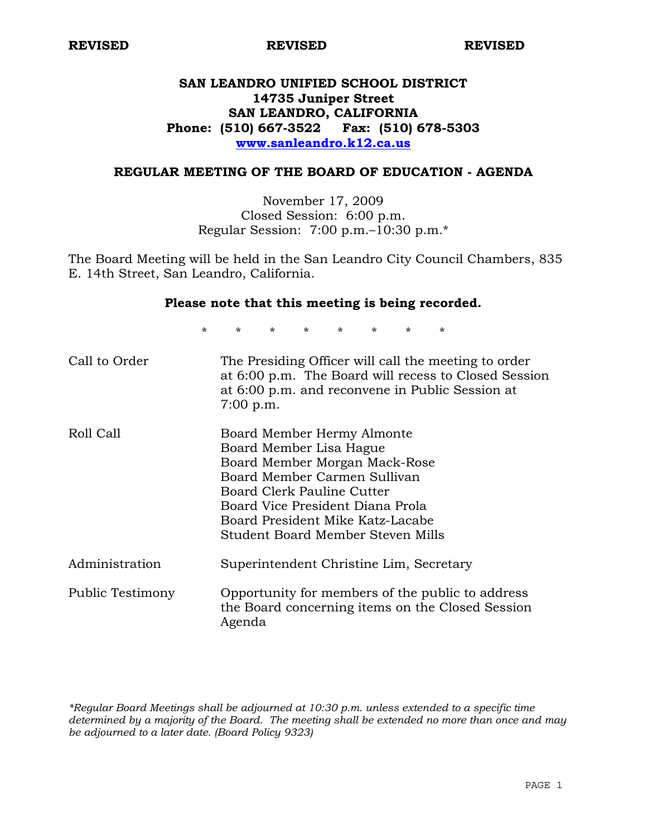**REVISED REVISED REVISED** 

# **SAN LEANDRO UNIFIED SCHOOL DISTRICT 14735 Juniper Street SAN LEANDRO, CALIFORNIA Phone: (510) 667-3522 Fax: (510) 678-5303 www.sanleandro.k12.ca.us**

### **REGULAR MEETING OF THE BOARD OF EDUCATION - AGENDA**

November 17, 2009 Closed Session: 6:00 p.m. Regular Session: 7:00 p.m.–10:30 p.m.\*

The Board Meeting will be held in the San Leandro City Council Chambers, 835 E. 14th Street, San Leandro, California.

### **Please note that this meeting is being recorded.**

\* \* \* \* \* \* \* \*

| Call to Order    | The Presiding Officer will call the meeting to order<br>at 6:00 p.m. The Board will recess to Closed Session<br>at 6:00 p.m. and reconvene in Public Session at<br>$7:00$ p.m.                                                                                    |
|------------------|-------------------------------------------------------------------------------------------------------------------------------------------------------------------------------------------------------------------------------------------------------------------|
| Roll Call        | Board Member Hermy Almonte<br>Board Member Lisa Hague<br>Board Member Morgan Mack-Rose<br>Board Member Carmen Sullivan<br>Board Clerk Pauline Cutter<br>Board Vice President Diana Prola<br>Board President Mike Katz-Lacabe<br>Student Board Member Steven Mills |
| Administration   | Superintendent Christine Lim, Secretary                                                                                                                                                                                                                           |
| Public Testimony | Opportunity for members of the public to address<br>the Board concerning items on the Closed Session<br>Agenda                                                                                                                                                    |

*\*Regular Board Meetings shall be adjourned at 10:30 p.m. unless extended to a specific time determined by a majority of the Board. The meeting shall be extended no more than once and may be adjourned to a later date. (Board Policy 9323)*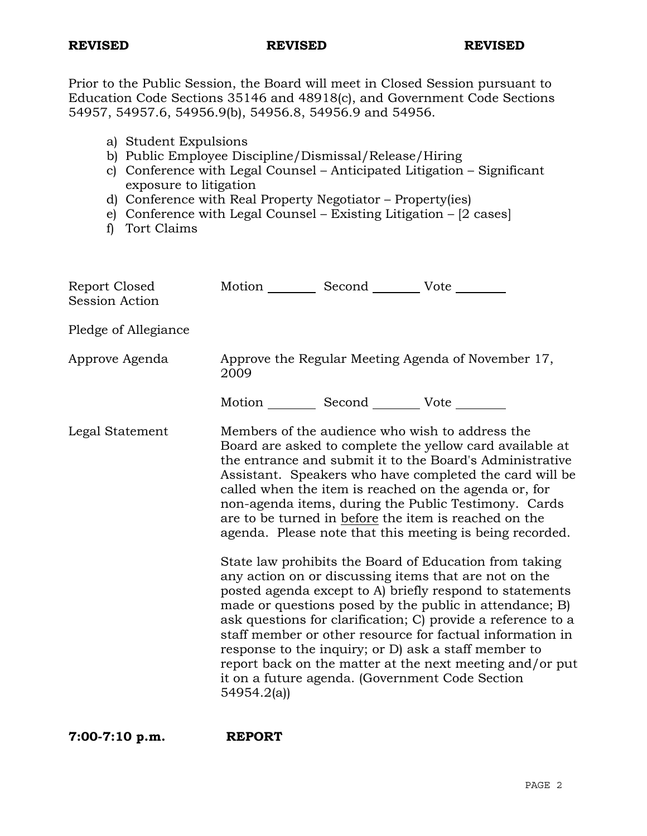Prior to the Public Session, the Board will meet in Closed Session pursuant to Education Code Sections 35146 and 48918(c), and Government Code Sections 54957, 54957.6, 54956.9(b), 54956.8, 54956.9 and 54956.

|  | a) Student Expulsions |
|--|-----------------------|
|  |                       |

- b) Public Employee Discipline/Dismissal/Release/Hiring
- c) Conference with Legal Counsel Anticipated Litigation Significant exposure to litigation
- d) Conference with Real Property Negotiator Property(ies)
- e) Conference with Legal Counsel Existing Litigation [2 cases]
- f) Tort Claims

| Report Closed<br><b>Session Action</b> | Motion __________ Second __________ Vote ________          |  |                                                                                                                                                                                                                                                                                                                                                                                                                                                                                                                                                                                                                                                                                                                                                                                                                                                                                                                                                                                                                        |
|----------------------------------------|------------------------------------------------------------|--|------------------------------------------------------------------------------------------------------------------------------------------------------------------------------------------------------------------------------------------------------------------------------------------------------------------------------------------------------------------------------------------------------------------------------------------------------------------------------------------------------------------------------------------------------------------------------------------------------------------------------------------------------------------------------------------------------------------------------------------------------------------------------------------------------------------------------------------------------------------------------------------------------------------------------------------------------------------------------------------------------------------------|
| Pledge of Allegiance                   |                                                            |  |                                                                                                                                                                                                                                                                                                                                                                                                                                                                                                                                                                                                                                                                                                                                                                                                                                                                                                                                                                                                                        |
| Approve Agenda                         | Approve the Regular Meeting Agenda of November 17,<br>2009 |  |                                                                                                                                                                                                                                                                                                                                                                                                                                                                                                                                                                                                                                                                                                                                                                                                                                                                                                                                                                                                                        |
|                                        | Motion ___________ Second ___________ Vote _________       |  |                                                                                                                                                                                                                                                                                                                                                                                                                                                                                                                                                                                                                                                                                                                                                                                                                                                                                                                                                                                                                        |
| Legal Statement                        | 54954.2(a)                                                 |  | Members of the audience who wish to address the<br>Board are asked to complete the yellow card available at<br>the entrance and submit it to the Board's Administrative<br>Assistant. Speakers who have completed the card will be<br>called when the item is reached on the agenda or, for<br>non-agenda items, during the Public Testimony. Cards<br>are to be turned in before the item is reached on the<br>agenda. Please note that this meeting is being recorded.<br>State law prohibits the Board of Education from taking<br>any action on or discussing items that are not on the<br>posted agenda except to A) briefly respond to statements<br>made or questions posed by the public in attendance; B)<br>ask questions for clarification; C) provide a reference to a<br>staff member or other resource for factual information in<br>response to the inquiry; or D) ask a staff member to<br>report back on the matter at the next meeting and/or put<br>it on a future agenda. (Government Code Section |

**7:00-7:10 p.m. REPORT**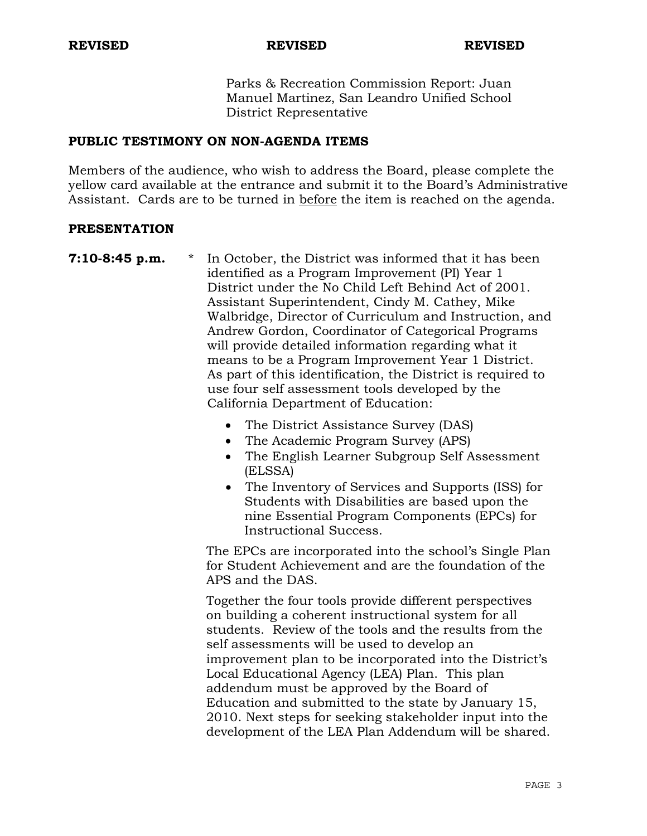Parks & Recreation Commission Report: Juan Manuel Martinez, San Leandro Unified School District Representative

## **PUBLIC TESTIMONY ON NON-AGENDA ITEMS**

Members of the audience, who wish to address the Board, please complete the yellow card available at the entrance and submit it to the Board's Administrative Assistant. Cards are to be turned in before the item is reached on the agenda.

### **PRESENTATION**

- **7:10-8:45 p.m.** \* In October, the District was informed that it has been identified as a Program Improvement (PI) Year 1 District under the No Child Left Behind Act of 2001. Assistant Superintendent, Cindy M. Cathey, Mike Walbridge, Director of Curriculum and Instruction, and Andrew Gordon, Coordinator of Categorical Programs will provide detailed information regarding what it means to be a Program Improvement Year 1 District. As part of this identification, the District is required to use four self assessment tools developed by the California Department of Education:
	- The District Assistance Survey (DAS)
	- The Academic Program Survey (APS)
	- The English Learner Subgroup Self Assessment (ELSSA)
	- The Inventory of Services and Supports (ISS) for Students with Disabilities are based upon the nine Essential Program Components (EPCs) for Instructional Success.

 The EPCs are incorporated into the school's Single Plan for Student Achievement and are the foundation of the APS and the DAS.

 Together the four tools provide different perspectives on building a coherent instructional system for all students. Review of the tools and the results from the self assessments will be used to develop an improvement plan to be incorporated into the District's Local Educational Agency (LEA) Plan. This plan addendum must be approved by the Board of Education and submitted to the state by January 15, 2010. Next steps for seeking stakeholder input into the development of the LEA Plan Addendum will be shared.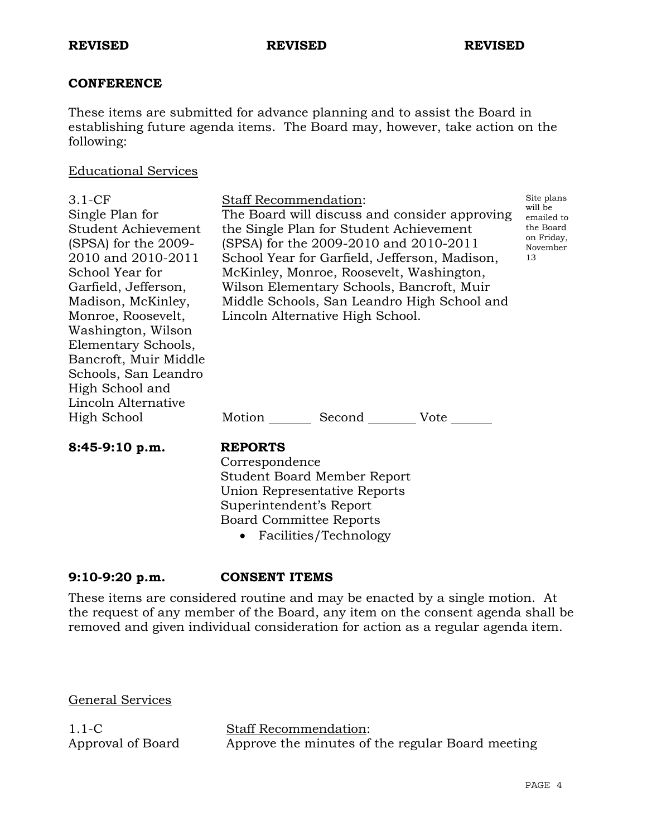## **CONFERENCE**

These items are submitted for advance planning and to assist the Board in establishing future agenda items. The Board may, however, take action on the following:

### Educational Services

| $3.1 - CF$<br>Single Plan for<br>Student Achievement<br>(SPSA) for the 2009-<br>2010 and 2010-2011<br>School Year for<br>Garfield, Jefferson,<br>Madison, McKinley,<br>Monroe, Roosevelt,<br>Washington, Wilson | <b>Staff Recommendation:</b><br>The Board will discuss and consider approving<br>the Single Plan for Student Achievement<br>(SPSA) for the 2009-2010 and 2010-2011<br>School Year for Garfield, Jefferson, Madison,<br>McKinley, Monroe, Roosevelt, Washington,<br>Wilson Elementary Schools, Bancroft, Muir<br>Middle Schools, San Leandro High School and<br>Lincoln Alternative High School. | Site plans<br>will be<br>emailed to<br>the Board<br>on Friday,<br>November<br>13 |
|-----------------------------------------------------------------------------------------------------------------------------------------------------------------------------------------------------------------|-------------------------------------------------------------------------------------------------------------------------------------------------------------------------------------------------------------------------------------------------------------------------------------------------------------------------------------------------------------------------------------------------|----------------------------------------------------------------------------------|
| Elementary Schools,                                                                                                                                                                                             |                                                                                                                                                                                                                                                                                                                                                                                                 |                                                                                  |
| Bancroft, Muir Middle                                                                                                                                                                                           |                                                                                                                                                                                                                                                                                                                                                                                                 |                                                                                  |
| Schools, San Leandro                                                                                                                                                                                            |                                                                                                                                                                                                                                                                                                                                                                                                 |                                                                                  |
| High School and                                                                                                                                                                                                 |                                                                                                                                                                                                                                                                                                                                                                                                 |                                                                                  |
| Lincoln Alternative                                                                                                                                                                                             |                                                                                                                                                                                                                                                                                                                                                                                                 |                                                                                  |
| High School                                                                                                                                                                                                     | Motion _________ Second __________ Vote _____                                                                                                                                                                                                                                                                                                                                                   |                                                                                  |
| 8:45-9:10 p.m.                                                                                                                                                                                                  | <b>REPORTS</b><br>Correspondence<br><b>Student Board Member Report</b><br>Union Representative Reports<br>Superintendent's Report                                                                                                                                                                                                                                                               |                                                                                  |

Board Committee Reports

• Facilities/Technology

# **9:10-9:20 p.m. CONSENT ITEMS**

These items are considered routine and may be enacted by a single motion. At the request of any member of the Board, any item on the consent agenda shall be removed and given individual consideration for action as a regular agenda item.

General Services

1.1-C Approval of Board Staff Recommendation: Approve the minutes of the regular Board meeting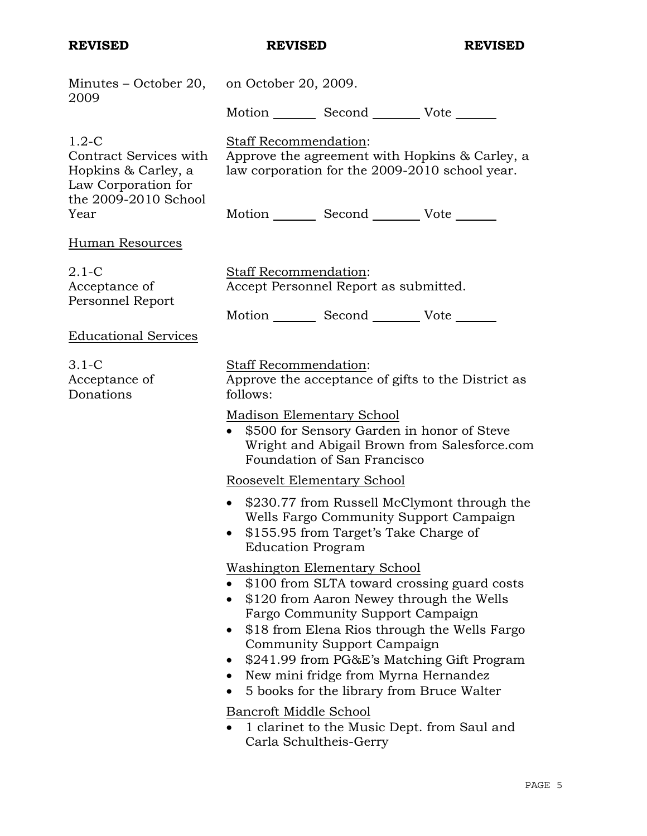| Minutes – October 20, on October 20, 2009.                                                                                                                                                                                                                                                                                                                                                                                                                   |  |  |
|--------------------------------------------------------------------------------------------------------------------------------------------------------------------------------------------------------------------------------------------------------------------------------------------------------------------------------------------------------------------------------------------------------------------------------------------------------------|--|--|
| Motion _________ Second __________ Vote _______                                                                                                                                                                                                                                                                                                                                                                                                              |  |  |
| Staff Recommendation:<br>Approve the agreement with Hopkins & Carley, a<br>law corporation for the 2009-2010 school year.                                                                                                                                                                                                                                                                                                                                    |  |  |
| Motion _________ Second __________ Vote _______                                                                                                                                                                                                                                                                                                                                                                                                              |  |  |
|                                                                                                                                                                                                                                                                                                                                                                                                                                                              |  |  |
| Staff Recommendation:<br>Accept Personnel Report as submitted.                                                                                                                                                                                                                                                                                                                                                                                               |  |  |
| Motion _________ Second __________ Vote _______                                                                                                                                                                                                                                                                                                                                                                                                              |  |  |
|                                                                                                                                                                                                                                                                                                                                                                                                                                                              |  |  |
| Staff Recommendation:<br>Approve the acceptance of gifts to the District as<br>follows:                                                                                                                                                                                                                                                                                                                                                                      |  |  |
| Madison Elementary School<br>• \$500 for Sensory Garden in honor of Steve<br>Wright and Abigail Brown from Salesforce.com<br>Foundation of San Francisco                                                                                                                                                                                                                                                                                                     |  |  |
| Roosevelt Elementary School                                                                                                                                                                                                                                                                                                                                                                                                                                  |  |  |
| • \$230.77 from Russell McClymont through the<br>Wells Fargo Community Support Campaign<br>• \$155.95 from Target's Take Charge of<br><b>Education Program</b>                                                                                                                                                                                                                                                                                               |  |  |
| <b>Washington Elementary School</b><br>\$100 from SLTA toward crossing guard costs<br>\$120 from Aaron Newey through the Wells<br>Fargo Community Support Campaign<br>\$18 from Elena Rios through the Wells Fargo<br>Community Support Campaign<br>\$241.99 from PG&E's Matching Gift Program<br>New mini fridge from Myrna Hernandez<br>5 books for the library from Bruce Walter<br>Bancroft Middle School<br>1 clarinet to the Music Dept. from Saul and |  |  |
|                                                                                                                                                                                                                                                                                                                                                                                                                                                              |  |  |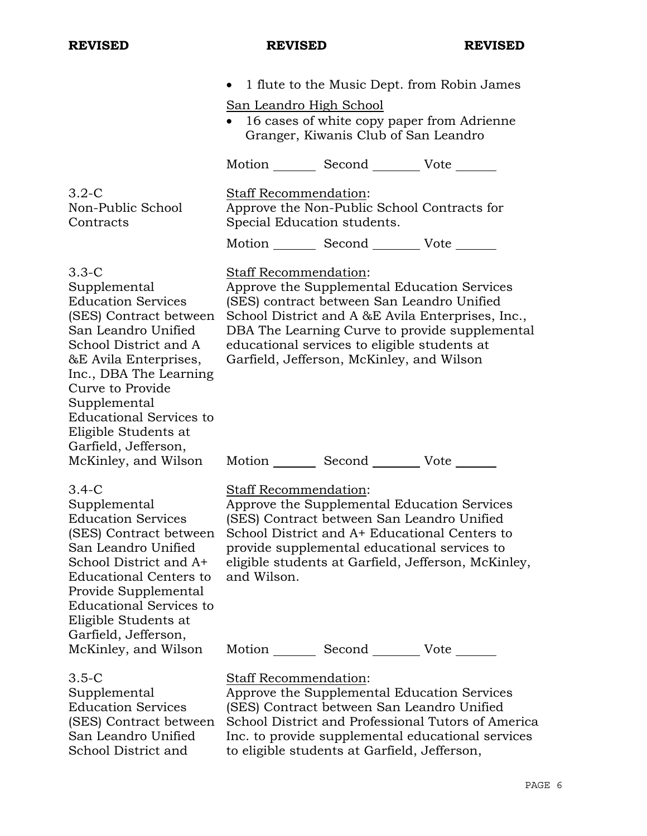School District and

|                                                                                                                                                                                                                                                                                                         | 1 flute to the Music Dept. from Robin James<br>$\bullet$<br><u>San Leandro High School</u><br>16 cases of white copy paper from Adrienne<br>Granger, Kiwanis Club of San Leandro                                                                                                                                                                                                              |
|---------------------------------------------------------------------------------------------------------------------------------------------------------------------------------------------------------------------------------------------------------------------------------------------------------|-----------------------------------------------------------------------------------------------------------------------------------------------------------------------------------------------------------------------------------------------------------------------------------------------------------------------------------------------------------------------------------------------|
|                                                                                                                                                                                                                                                                                                         | Motion _________ Second __________ Vote _______                                                                                                                                                                                                                                                                                                                                               |
| $3.2 - C$<br>Non-Public School<br>Contracts                                                                                                                                                                                                                                                             | <b>Staff Recommendation:</b><br>Approve the Non-Public School Contracts for<br>Special Education students.<br>Motion _________ Second __________ Vote _______                                                                                                                                                                                                                                 |
| $3.3-C$<br>Supplemental<br><b>Education Services</b><br>(SES) Contract between<br>San Leandro Unified<br>School District and A<br>&E Avila Enterprises,<br>Inc., DBA The Learning<br>Curve to Provide<br>Supplemental<br><b>Educational Services to</b><br>Eligible Students at<br>Garfield, Jefferson, | Staff Recommendation:<br>Approve the Supplemental Education Services<br>(SES) contract between San Leandro Unified<br>School District and A &E Avila Enterprises, Inc.,<br>DBA The Learning Curve to provide supplemental<br>educational services to eligible students at<br>Garfield, Jefferson, McKinley, and Wilson<br>McKinley, and Wilson Motion _________ Second _________ Vote _______ |
| $3.4 - C$<br>Supplemental<br><b>Education Services</b><br>(SES) Contract between<br>San Leandro Unified<br>School District and A+<br><b>Educational Centers to</b><br>Provide Supplemental<br><b>Educational Services to</b><br>Eligible Students at<br>Garfield, Jefferson,<br>McKinley, and Wilson    | Staff Recommendation:<br>Approve the Supplemental Education Services<br>(SES) Contract between San Leandro Unified<br>School District and A+ Educational Centers to<br>provide supplemental educational services to<br>eligible students at Garfield, Jefferson, McKinley,<br>and Wilson.<br>Motion _________ Second __________ Vote _______                                                  |
| $3.5 - C$<br>Supplemental<br><b>Education Services</b><br>(SES) Contract between<br>San Leandro Unified                                                                                                                                                                                                 | Staff Recommendation:<br>Approve the Supplemental Education Services<br>(SES) Contract between San Leandro Unified<br>School District and Professional Tutors of America<br>Inc. to provide supplemental educational services                                                                                                                                                                 |

to eligible students at Garfield, Jefferson,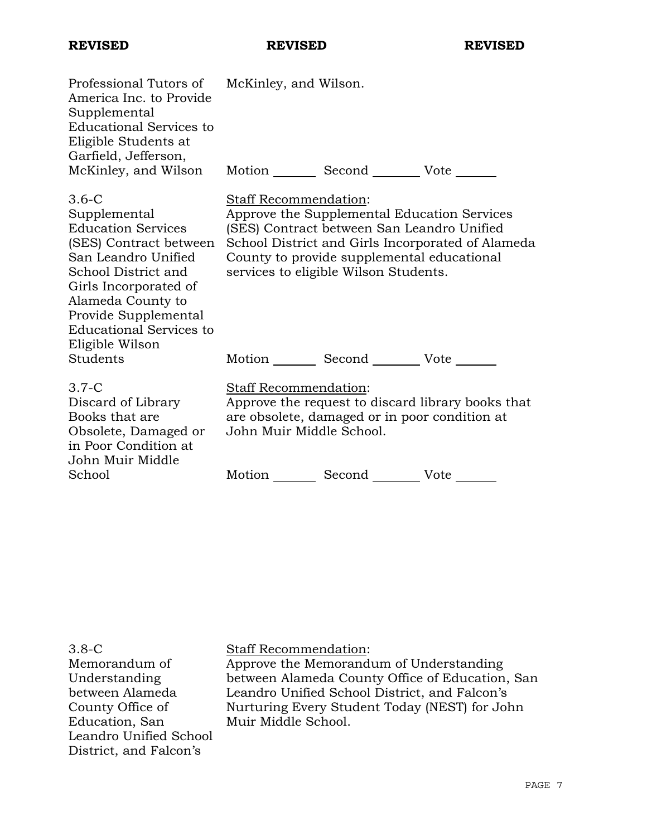| Professional Tutors of McKinley, and Wilson.<br>America Inc. to Provide<br>Supplemental<br><b>Educational Services to</b><br>Eligible Students at<br>Garfield, Jefferson,<br>McKinley, and Wilson                                                         | Motion Second Vote                                                                                                                                                                                                                                             |  |
|-----------------------------------------------------------------------------------------------------------------------------------------------------------------------------------------------------------------------------------------------------------|----------------------------------------------------------------------------------------------------------------------------------------------------------------------------------------------------------------------------------------------------------------|--|
| $3.6 - C$<br>Supplemental<br><b>Education Services</b><br>(SES) Contract between<br>San Leandro Unified<br>School District and<br>Girls Incorporated of<br>Alameda County to<br>Provide Supplemental<br><b>Educational Services to</b><br>Eligible Wilson | Staff Recommendation:<br>Approve the Supplemental Education Services<br>(SES) Contract between San Leandro Unified<br>School District and Girls Incorporated of Alameda<br>County to provide supplemental educational<br>services to eligible Wilson Students. |  |
| Students                                                                                                                                                                                                                                                  | Motion Second Vote                                                                                                                                                                                                                                             |  |
| $3.7-C$<br>Discard of Library<br>Books that are<br>Obsolete, Damaged or<br>in Poor Condition at<br>John Muir Middle                                                                                                                                       | Staff Recommendation:<br>Approve the request to discard library books that<br>are obsolete, damaged or in poor condition at<br>John Muir Middle School.                                                                                                        |  |
| School                                                                                                                                                                                                                                                    | Second Vote<br>Motion                                                                                                                                                                                                                                          |  |

3.8-C Memorandum of Understanding between Alameda County Office of Education, San Leandro Unified School District, and Falcon's

Staff Recommendation:

Approve the Memorandum of Understanding between Alameda County Office of Education, San Leandro Unified School District, and Falcon's Nurturing Every Student Today (NEST) for John Muir Middle School.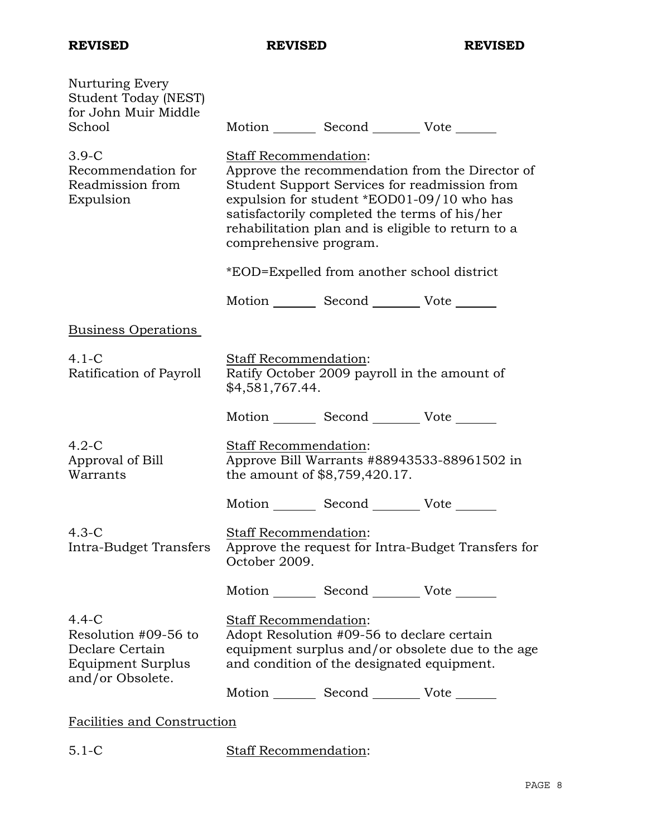| Nurturing Every<br>Student Today (NEST)<br>for John Muir Middle                               |                                                 |                                                                                             |                                                                                                                                                        |
|-----------------------------------------------------------------------------------------------|-------------------------------------------------|---------------------------------------------------------------------------------------------|--------------------------------------------------------------------------------------------------------------------------------------------------------|
| School                                                                                        |                                                 | Motion _________ Second __________ Vote _______                                             |                                                                                                                                                        |
| $3.9-C$<br>Recommendation for<br>Readmission from<br>Expulsion                                | Staff Recommendation:<br>comprehensive program. | expulsion for student *EOD01-09/10 who has<br>satisfactorily completed the terms of his/her | Approve the recommendation from the Director of<br>Student Support Services for readmission from<br>rehabilitation plan and is eligible to return to a |
|                                                                                               |                                                 | *EOD=Expelled from another school district                                                  |                                                                                                                                                        |
|                                                                                               |                                                 | Motion _________ Second __________ Vote _______                                             |                                                                                                                                                        |
| <b>Business Operations</b>                                                                    |                                                 |                                                                                             |                                                                                                                                                        |
| $4.1-C$<br>Ratification of Payroll                                                            | <b>Staff Recommendation:</b><br>\$4,581,767.44. | Ratify October 2009 payroll in the amount of                                                |                                                                                                                                                        |
|                                                                                               |                                                 | Motion _________ Second __________ Vote _______                                             |                                                                                                                                                        |
| $4.2-C$<br>Approval of Bill<br>Warrants                                                       | Staff Recommendation:                           | the amount of \$8,759,420.17.                                                               | Approve Bill Warrants #88943533-88961502 in                                                                                                            |
|                                                                                               |                                                 | Motion _________ Second __________ Vote _______                                             |                                                                                                                                                        |
| $4.3-C$<br>Intra-Budget Transfers                                                             | Staff Recommendation:<br>October 2009.          |                                                                                             | Approve the request for Intra-Budget Transfers for                                                                                                     |
|                                                                                               |                                                 | Motion _________ Second __________ Vote _______                                             |                                                                                                                                                        |
| $4.4 - C$<br>Resolution #09-56 to<br>Declare Certain<br>Equipment Surplus<br>and/or Obsolete. | Staff Recommendation:                           | Adopt Resolution #09-56 to declare certain<br>and condition of the designated equipment.    | equipment surplus and/or obsolete due to the age                                                                                                       |
|                                                                                               |                                                 | Motion _________ Second _________ Vote _______                                              |                                                                                                                                                        |
| <b>Facilities and Construction</b>                                                            |                                                 |                                                                                             |                                                                                                                                                        |

5.1-C Staff Recommendation: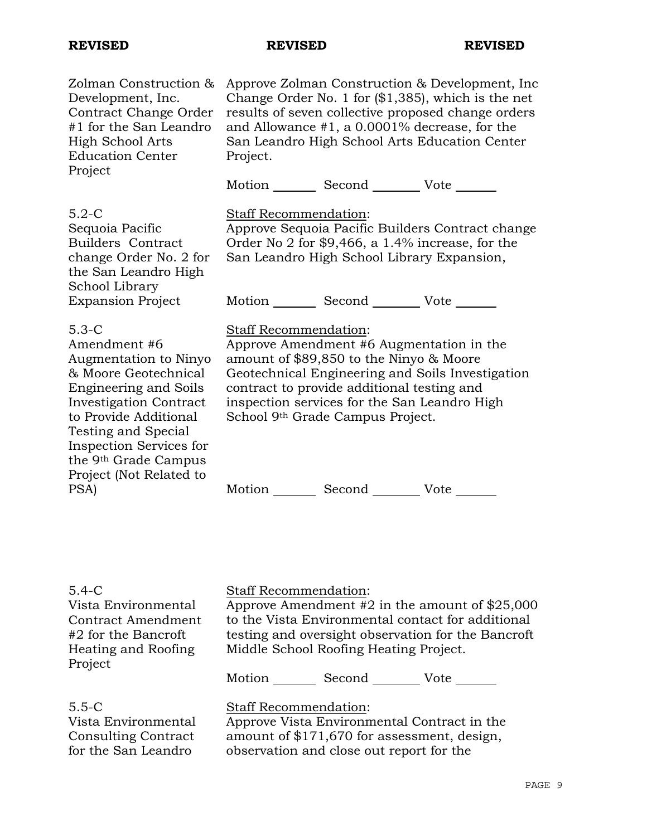### **REVISED REVISED REVISED**

| Zolman Construction &<br>Development, Inc.<br>Contract Change Order<br>#1 for the San Leandro<br><b>High School Arts</b><br><b>Education Center</b><br>Project                                                                                                                     | Approve Zolman Construction & Development, Inc.<br>Change Order No. 1 for $(\$1,385)$ , which is the net<br>results of seven collective proposed change orders<br>and Allowance $#1$ , a 0.0001% decrease, for the<br>San Leandro High School Arts Education Center<br>Project.<br>Motion _________ Second _________ Vote _______ |
|------------------------------------------------------------------------------------------------------------------------------------------------------------------------------------------------------------------------------------------------------------------------------------|-----------------------------------------------------------------------------------------------------------------------------------------------------------------------------------------------------------------------------------------------------------------------------------------------------------------------------------|
|                                                                                                                                                                                                                                                                                    |                                                                                                                                                                                                                                                                                                                                   |
| $5.2-C$<br>Sequoia Pacific<br><b>Builders Contract</b><br>change Order No. 2 for<br>the San Leandro High<br>School Library                                                                                                                                                         | <b>Staff Recommendation:</b><br>Approve Sequoia Pacific Builders Contract change<br>Order No 2 for $$9,466$ , a 1.4% increase, for the<br>San Leandro High School Library Expansion,                                                                                                                                              |
| <b>Expansion Project</b>                                                                                                                                                                                                                                                           | Motion Second Vote                                                                                                                                                                                                                                                                                                                |
| $5.3-C$<br>Amendment#6<br>Augmentation to Ninyo<br>& Moore Geotechnical<br><b>Engineering and Soils</b><br><b>Investigation Contract</b><br>to Provide Additional<br>Testing and Special<br>Inspection Services for<br>the 9 <sup>th</sup> Grade Campus<br>Project (Not Related to | Staff Recommendation:<br>Approve Amendment #6 Augmentation in the<br>amount of \$89,850 to the Ninyo & Moore<br>Geotechnical Engineering and Soils Investigation<br>contract to provide additional testing and<br>inspection services for the San Leandro High<br>School 9th Grade Campus Project.                                |
| PSA)                                                                                                                                                                                                                                                                               | Motion<br>Vote                                                                                                                                                                                                                                                                                                                    |

## 5.4-C

Vista Environmental Contract Amendment #2 for the Bancroft Heating and Roofing Project

Staff Recommendation:

Approve Amendment #2 in the amount of \$25,000 to the Vista Environmental contact for additional testing and oversight observation for the Bancroft Middle School Roofing Heating Project.

Motion \_\_\_\_\_\_\_\_\_ Second \_\_\_\_\_\_\_\_\_\_ Vote \_\_\_\_\_\_\_

5.5-C

Vista Environmental Consulting Contract for the San Leandro

# Staff Recommendation:

Approve Vista Environmental Contract in the amount of \$171,670 for assessment, design, observation and close out report for the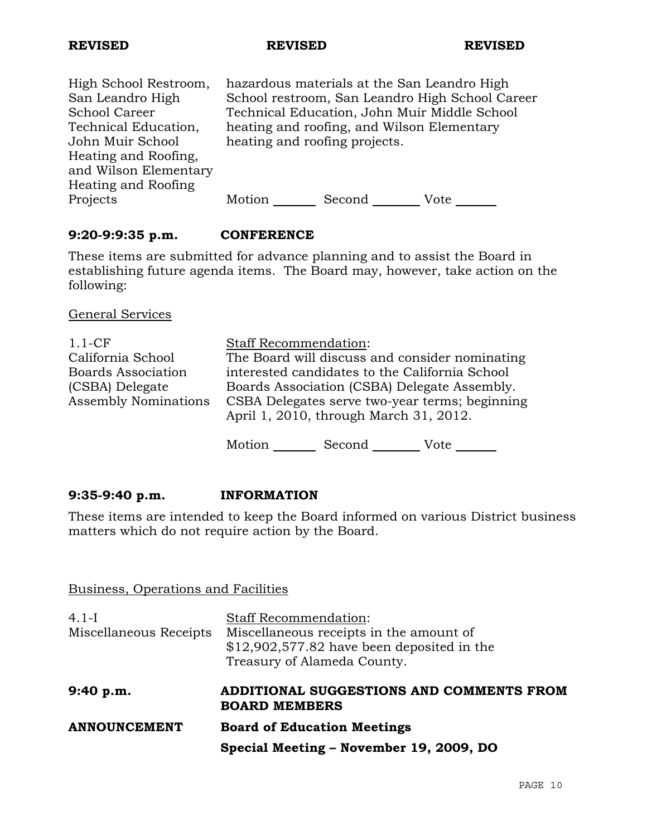### **REVISED REVISED REVISED**

High School Restroom, San Leandro High School Career Technical Education, John Muir School Heating and Roofing, and Wilson Elementary Heating and Roofing Projects

hazardous materials at the San Leandro High School restroom, San Leandro High School Career Technical Education, John Muir Middle School heating and roofing, and Wilson Elementary heating and roofing projects.

Motion Second Vote

# **9:20-9:9:35 p.m. CONFERENCE**

These items are submitted for advance planning and to assist the Board in establishing future agenda items. The Board may, however, take action on the following:

General Services

| $1.1-CF$                    | <b>Staff Recommendation:</b>                   |
|-----------------------------|------------------------------------------------|
| California School           | The Board will discuss and consider nominating |
| <b>Boards Association</b>   | interested candidates to the California School |
| (CSBA) Delegate             | Boards Association (CSBA) Delegate Assembly.   |
| <b>Assembly Nominations</b> | CSBA Delegates serve two-year terms; beginning |
|                             | April 1, 2010, through March 31, 2012.         |
|                             |                                                |

Motion Second Vote

### **9:35-9:40 p.m. INFORMATION**

These items are intended to keep the Board informed on various District business matters which do not require action by the Board.

### Business, Operations and Facilities

| $4.1-I$                | <b>Staff Recommendation:</b>                                     |
|------------------------|------------------------------------------------------------------|
| Miscellaneous Receipts | Miscellaneous receipts in the amount of                          |
|                        | $$12,902,577.82$ have been deposited in the                      |
|                        | Treasury of Alameda County.                                      |
| 9:40 p.m.              | ADDITIONAL SUGGESTIONS AND COMMENTS FROM<br><b>BOARD MEMBERS</b> |
| <b>ANNOUNCEMENT</b>    | <b>Board of Education Meetings</b>                               |
|                        |                                                                  |